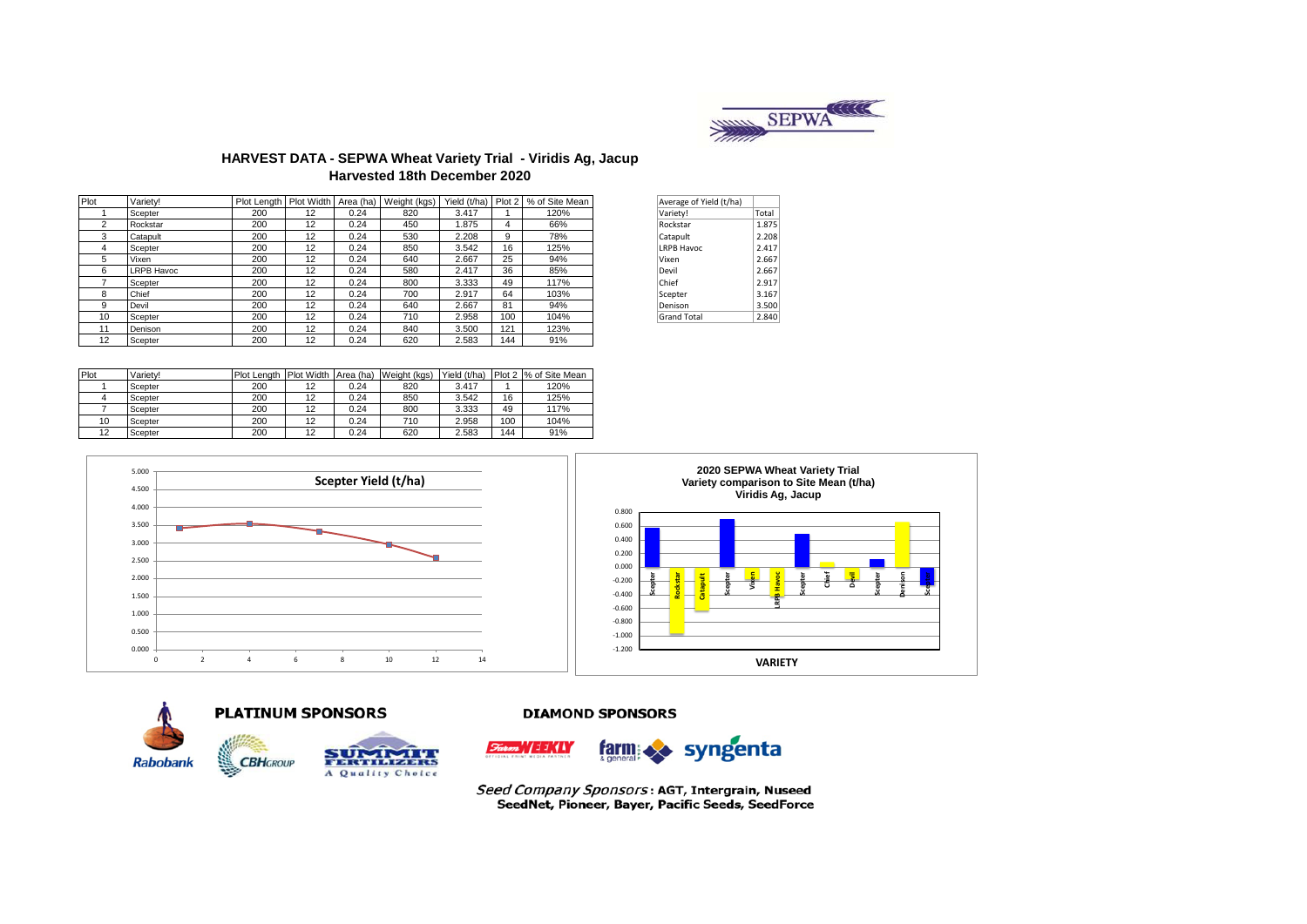

## **HARVEST DATA - SEPWA Wheat Variety Trial - Viridis Ag, Jacup Harvested 18th December 2020**

| Plot | Variety!          |     |    |      | Plot Length   Plot Width   Area (ha)   Weight (kgs) | Yield (t/ha) | Plot 2 | % of Site Mean | Average of Yield (t/ha) |       |
|------|-------------------|-----|----|------|-----------------------------------------------------|--------------|--------|----------------|-------------------------|-------|
|      | Scepter           | 200 | 12 | 0.24 | 820                                                 | 3.417        |        | 120%           | Variety!                | Total |
| 2    | Rockstar          | 200 | 12 | 0.24 | 450                                                 | 1.875        | 4      | 66%            | Rockstar                | 1.875 |
| 3    | Catapult          | 200 | 12 | 0.24 | 530                                                 | 2.208        | 9      | 78%            | Catapult                | 2.208 |
| 4    | Scepter           | 200 | 12 | 0.24 | 850                                                 | 3.542        | 16     | 125%           | <b>LRPB Havoc</b>       | 2.417 |
| 5    | Vixen             | 200 | 12 | 0.24 | 640                                                 | 2.667        | 25     | 94%            | Vixen                   | 2.667 |
| 6    | <b>LRPB Havoc</b> | 200 | 12 | 0.24 | 580                                                 | 2.417        | 36     | 85%            | Devil                   | 2.667 |
|      | Scepter           | 200 | 12 | 0.24 | 800                                                 | 3.333        | 49     | 117%           | Chief                   | 2.917 |
| 8    | Chief             | 200 | 12 | 0.24 | 700                                                 | 2.917        | 64     | 103%           | Scepter                 | 3.167 |
| 9    | Devil             | 200 | 12 | 0.24 | 640                                                 | 2.667        | 81     | 94%            | Denison                 | 3.500 |
| 10   | Scepter           | 200 | 12 | 0.24 | 710                                                 | 2.958        | 100    | 104%           | <b>Grand Total</b>      | 2.840 |
| 11   | Denison           | 200 | 12 | 0.24 | 840                                                 | 3.500        | 121    | 123%           |                         |       |
| 12   | Scepter           | 200 | 12 | 0.24 | 620                                                 | 2.583        | 144    | 91%            |                         |       |

| Average of Yield (t/ha) |       |
|-------------------------|-------|
| Variety!                | Total |
| Rockstar                | 1.875 |
| Catapult                | 2.208 |
| <b>LRPB Havoc</b>       | 2.417 |
| Vixen                   | 2.667 |
| Devil                   | 2.667 |
| Chief                   | 2.917 |
| Scepter                 | 3.167 |
| Denison                 | 3.500 |
| <b>Grand Total</b>      | 2.840 |

| Plot | Variety! | Plot Lenath | Plot Width Area (ha) |      | Weight (kgs) | Yield (t/ha) |     | Plot 2 % of Site Mean |
|------|----------|-------------|----------------------|------|--------------|--------------|-----|-----------------------|
|      | Scepter  | 200         | 12                   | 0.24 | 820          | 3.417        |     | 120%                  |
|      | Scepter  | 200         | 12                   | 0.24 | 850          | 3.542        | 16  | 125%                  |
|      | Scepter  | 200         | 12                   | 0.24 | 800          | 3.333        | 49  | 117%                  |
| 10   | Scepter  | 200         | 12                   | 0.24 | 710          | 2.958        | 100 | 104%                  |
| 12   | Scepter  | 200         | 12                   | 0.24 | 620          | 2.583        | 144 | 91%                   |







#### **DIAMOND SPONSORS**



Seed Company Sponsors: AGT, Intergrain, Nuseed SeedNet, Pioneer, Bayer, Pacific Seeds, SeedForce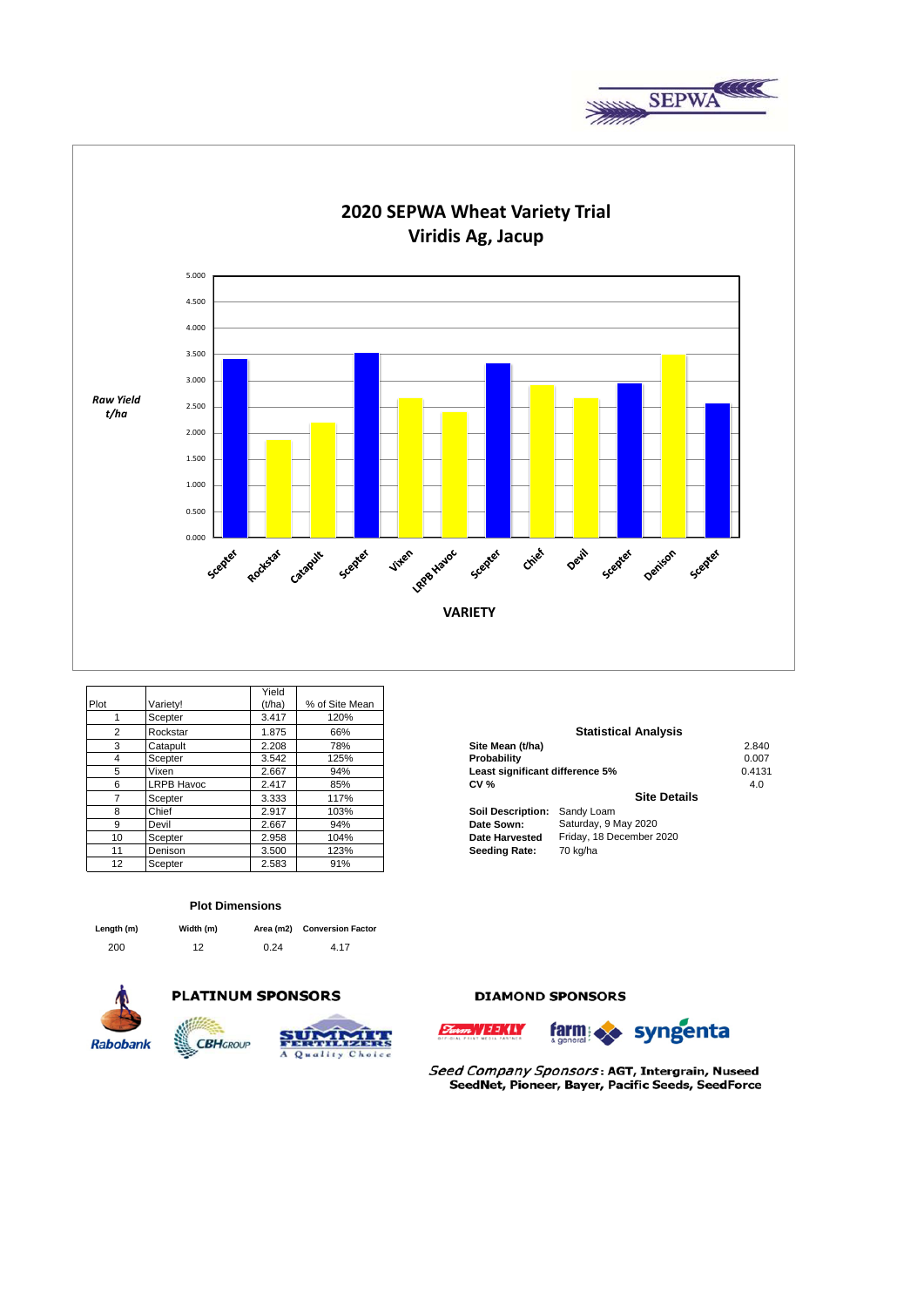



|                |            | Yield  |                |                          |                                 |       |  |  |
|----------------|------------|--------|----------------|--------------------------|---------------------------------|-------|--|--|
| Plot           | Variety!   | (t/ha) | % of Site Mean |                          |                                 |       |  |  |
|                | Scepter    | 3.417  | 120%           |                          |                                 |       |  |  |
| $\overline{2}$ | Rockstar   | 1.875  | 66%            |                          | <b>Statistical Analysis</b>     |       |  |  |
| 3              | Catapult   | 2.208  | 78%            | Site Mean (t/ha)         |                                 | 2.840 |  |  |
| 4              | Scepter    | 3.542  | 125%           | Probability              |                                 | 0.007 |  |  |
| 5              | Vixen      | 2.667  | 94%            |                          | Least significant difference 5% |       |  |  |
| 6              | LRPB Havoc | 2.417  | 85%            | <b>CV %</b>              |                                 | 4.0   |  |  |
|                | Scepter    | 3.333  | 117%           |                          | <b>Site Details</b>             |       |  |  |
| 8              | Chief      | 2.917  | 103%           | <b>Soil Description:</b> | Sandy Loam                      |       |  |  |
| 9              | Devil      | 2.667  | 94%            | Date Sown:               | Saturday, 9 May 2020            |       |  |  |
| 10             | Scepter    | 2.958  | 104%           | <b>Date Harvested</b>    | Friday, 18 December 2020        |       |  |  |
| 11             | Denison    | 3.500  | 123%           | <b>Seeding Rate:</b>     | 70 kg/ha                        |       |  |  |
| 12             | Scepter    | 2.583  | 91%            |                          |                                 |       |  |  |

#### **Plot Dimensions**

| Length (m) | Width (m) |      | Area (m2) Conversion Factor |
|------------|-----------|------|-----------------------------|
| 200        | 12        | 0.24 | 4.17                        |



# **PLATINUM SPONSORS**



## **DIAMOND SPONSORS**





Seed Company Sponsors: AGT, Intergrain, Nuseed SeedNet, Pioneer, Bayer, Pacific Seeds, SeedForce